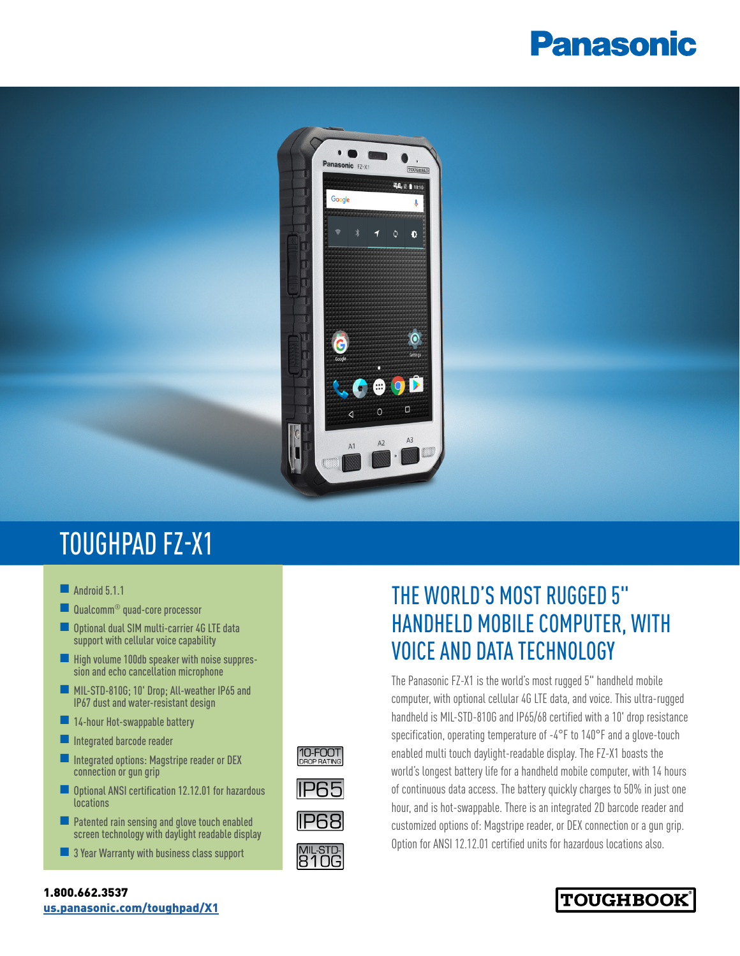# **Panasonic**



10-FOOT

**IP65** 

**IP68** 

MIL-STD-<br>810G

## TOUGHPAD FZ-X1

- $\blacksquare$  Android 5.1.1
- Qualcomm<sup>®</sup> quad-core processor
- **n** Optional dual SIM multi-carrier 4G LTE data support with cellular voice capability
- **n** High volume 100db speaker with noise suppres-<br>sion and echo cancellation microphone
- MIL-STD-810G; 10' Drop; All-weather IP65 and IP67 dust and water-resistant design
- **n** 14-hour Hot-swappable battery
- $\blacksquare$  Integrated barcode reader
- **n** Integrated options: Magstripe reader or DEX connection or gun grip
- Optional ANSI certification 12.12.01 for hazardous **locations**
- $\blacksquare$  Patented rain sensing and glove touch enabled screen technology with daylight readable display
- $\blacksquare$  3 Year Warranty with business class support

### THE WORLD'S MOST RUGGED 5" HANDHELD MOBILE COMPUTER, WITH VOICE AND DATA TECHNOLOGY

The Panasonic FZ-X1 is the world's most rugged 5" handheld mobile computer, with optional cellular 4G LTE data, and voice. This ultra-rugged handheld is MIL-STD-810G and IP65/68 certified with a 10' drop resistance specification, operating temperature of -4°F to 140°F and a glove-touch enabled multi touch daylight-readable display. The FZ-X1 boasts the world's longest battery life for a handheld mobile computer, with 14 hours of continuous data access. The battery quickly charges to 50% in just one hour, and is hot-swappable. There is an integrated 2D barcode reader and customized options of: Magstripe reader, or DEX connection or a gun grip. Option for ANSI 12.12.01 certified units for hazardous locations also.



#### 1.800.662.3537 [us.panasonic.com/toughpad/X1](http://us.panasonic.com/toughpad/X1)